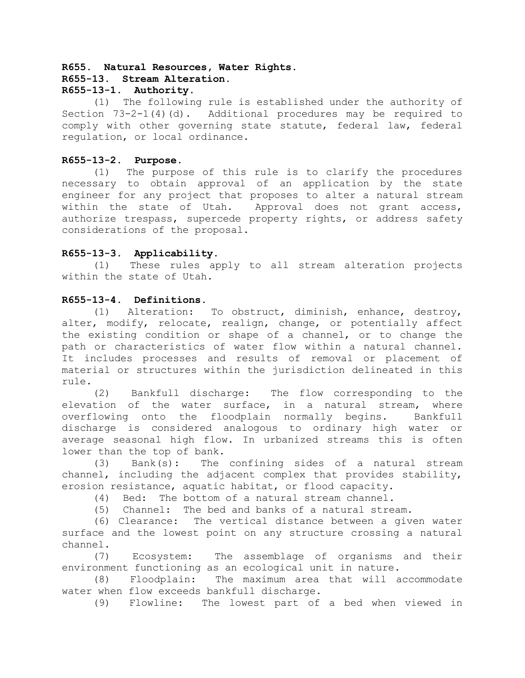### **R655. Natural Resources, Water Rights. R655-13. Stream Alteration.**

# **R655-13-1. Authority.**

(1) The following rule is established under the authority of Section  $73-2-1(4)(d)$ . Additional procedures may be required to comply with other governing state statute, federal law, federal regulation, or local ordinance.

# **R655-13-2. Purpose.**

(1) The purpose of this rule is to clarify the procedures necessary to obtain approval of an application by the state engineer for any project that proposes to alter a natural stream within the state of Utah. Approval does not grant access, authorize trespass, supercede property rights, or address safety considerations of the proposal.

# **R655-13-3. Applicability.**

(1) These rules apply to all stream alteration projects within the state of Utah.

# **R655-13-4. Definitions.**

(1) Alteration: To obstruct, diminish, enhance, destroy, alter, modify, relocate, realign, change, or potentially affect the existing condition or shape of a channel, or to change the path or characteristics of water flow within a natural channel. It includes processes and results of removal or placement of material or structures within the jurisdiction delineated in this rule.

(2) Bankfull discharge: The flow corresponding to the elevation of the water surface, in a natural stream, where overflowing onto the floodplain normally begins. Bankfull discharge is considered analogous to ordinary high water or average seasonal high flow. In urbanized streams this is often lower than the top of bank.

(3) Bank(s): The confining sides of a natural stream channel, including the adjacent complex that provides stability, erosion resistance, aquatic habitat, or flood capacity.

(4) Bed: The bottom of a natural stream channel.

(5) Channel: The bed and banks of a natural stream.

(6) Clearance: The vertical distance between a given water surface and the lowest point on any structure crossing a natural channel.

(7) Ecosystem: The assemblage of organisms and their environment functioning as an ecological unit in nature.

(8) Floodplain: The maximum area that will accommodate water when flow exceeds bankfull discharge.

(9) Flowline: The lowest part of a bed when viewed in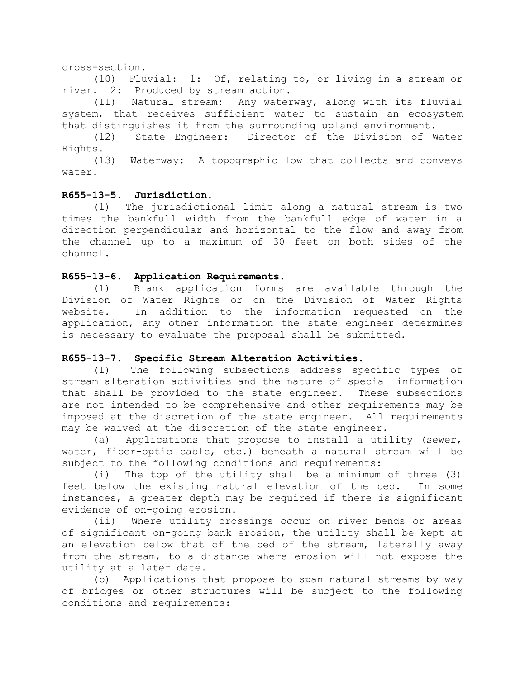### cross-section.

(10) Fluvial: 1: Of, relating to, or living in a stream or river. 2: Produced by stream action.

(11) Natural stream: Any waterway, along with its fluvial system, that receives sufficient water to sustain an ecosystem that distinguishes it from the surrounding upland environment.

(12) State Engineer: Director of the Division of Water Rights.

(13) Waterway: A topographic low that collects and conveys water.

# **R655-13-5. Jurisdiction.**

(1) The jurisdictional limit along a natural stream is two times the bankfull width from the bankfull edge of water in a direction perpendicular and horizontal to the flow and away from the channel up to a maximum of 30 feet on both sides of the channel.

### **R655-13-6. Application Requirements.**

(1) Blank application forms are available through the Division of Water Rights or on the Division of Water Rights website. In addition to the information requested on the application, any other information the state engineer determines is necessary to evaluate the proposal shall be submitted.

### **R655-13-7. Specific Stream Alteration Activities.**

(1) The following subsections address specific types of stream alteration activities and the nature of special information that shall be provided to the state engineer. These subsections are not intended to be comprehensive and other requirements may be imposed at the discretion of the state engineer. All requirements may be waived at the discretion of the state engineer.

(a) Applications that propose to install a utility (sewer, water, fiber-optic cable, etc.) beneath a natural stream will be subject to the following conditions and requirements:

(i) The top of the utility shall be a minimum of three (3) feet below the existing natural elevation of the bed. In some instances, a greater depth may be required if there is significant evidence of on-going erosion.

(ii) Where utility crossings occur on river bends or areas of significant on-going bank erosion, the utility shall be kept at an elevation below that of the bed of the stream, laterally away from the stream, to a distance where erosion will not expose the utility at a later date.

(b) Applications that propose to span natural streams by way of bridges or other structures will be subject to the following conditions and requirements: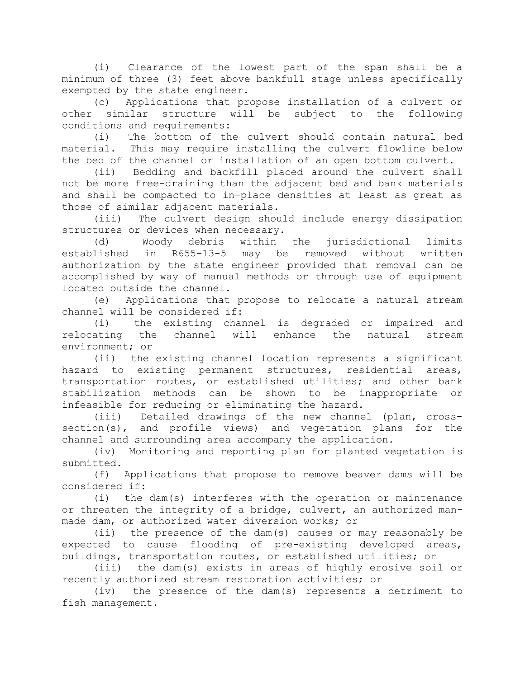(i) Clearance of the lowest part of the span shall be a minimum of three (3) feet above bankfull stage unless specifically exempted by the state engineer.

(c) Applications that propose installation of a culvert or other similar structure will be subject to the following conditions and requirements:

(i) The bottom of the culvert should contain natural bed material. This may require installing the culvert flowline below the bed of the channel or installation of an open bottom culvert.

(ii) Bedding and backfill placed around the culvert shall not be more free-draining than the adjacent bed and bank materials and shall be compacted to in-place densities at least as great as those of similar adjacent materials.

(iii) The culvert design should include energy dissipation structures or devices when necessary.

(d) Woody debris within the jurisdictional limits established in R655-13-5 may be removed without written authorization by the state engineer provided that removal can be accomplished by way of manual methods or through use of equipment located outside the channel.

(e) Applications that propose to relocate a natural stream channel will be considered if:

(i) the existing channel is degraded or impaired and relocating the channel will enhance the natural stream environment; or

(ii) the existing channel location represents a significant hazard to existing permanent structures, residential areas, transportation routes, or established utilities; and other bank stabilization methods can be shown to be inappropriate or infeasible for reducing or eliminating the hazard.

(iii) Detailed drawings of the new channel (plan, crosssection(s), and profile views) and vegetation plans for the channel and surrounding area accompany the application.

(iv) Monitoring and reporting plan for planted vegetation is submitted.

(f) Applications that propose to remove beaver dams will be considered if:

(i) the dam(s) interferes with the operation or maintenance or threaten the integrity of a bridge, culvert, an authorized manmade dam, or authorized water diversion works; or

(ii) the presence of the dam(s) causes or may reasonably be expected to cause flooding of pre-existing developed areas, buildings, transportation routes, or established utilities; or

(iii) the dam(s) exists in areas of highly erosive soil or recently authorized stream restoration activities; or

(iv) the presence of the dam(s) represents a detriment to fish management.